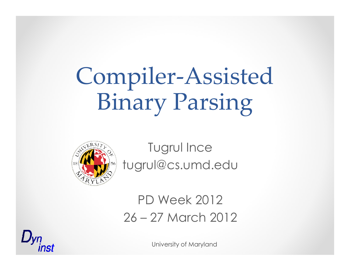# Compiler-Assisted Binary Parsing



Tugrul Ince tugrul@cs.umd.edu

### PD Week 201226 – 27 March 2012

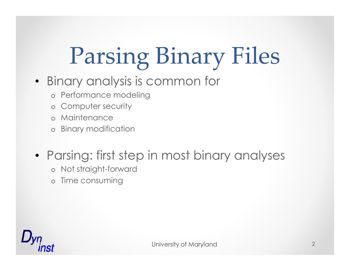# Parsing Binary Files

- Binary analysis is common for
	- o Performance modeling
	- o Computer security
	- o Maintenance
	- o Binary modification
- Parsing: first step in most binary analyses
	- o Not straight-forward
	- o Time consuming

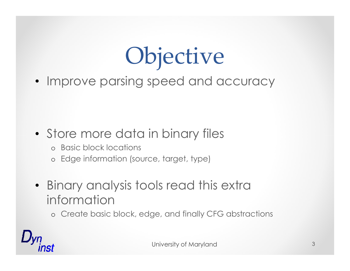# Objective

• Improve parsing speed and accuracy

### • Store more data in binary files

- o Basic block locations
- o Edge information (source, target, type)
- Binary analysis tools read this extra information
	- o Create basic block, edge, and finally CFG abstractions

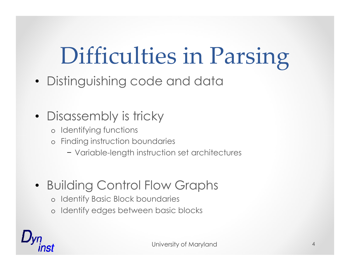# Difficulties in Parsing

• Distinguishing code and data

### • Disassembly is tricky

- o Identifying functions
- o Finding instruction boundaries
	- − Variable-length instruction set architectures

### • Building Control Flow Graphs

- o Identify Basic Block boundaries
- o Identify edges between basic blocks

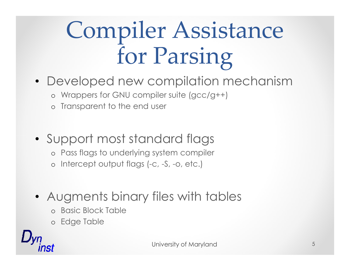# Compiler Assistancefor Parsing

- Developed new compilation mechanism
	- o Wrappers for GNU compiler suite (gcc/g++)
	- o Transparent to the end user
- Support most standard flags
	- o Pass flags to underlying system compiler
	- o Intercept output flags (-c, -S, -o, etc.)
- Augments binary files with tables
	- o Basic Block Table
	- o Edge Table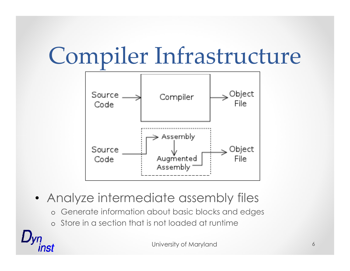



- Analyze intermediate assembly files
	- o Generate information about basic blocks and edges
	- o Store in a section that is not loaded at runtime

NS1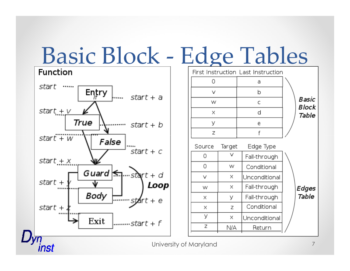# **Basic Block - Edge Tables**



inst

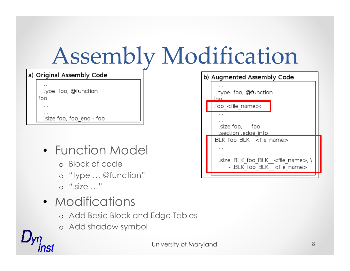# Assembly Modification

| a) Original Assembly Code   |  |  |  |  |  |
|-----------------------------|--|--|--|--|--|
| type foo, @function<br>foo: |  |  |  |  |  |
|                             |  |  |  |  |  |
| size foo, foo end - foo.    |  |  |  |  |  |

- Function Model
	- o Block of code
	- o "type … @function"
	- o ".size …"

 $\n *Uvn*\n$ 

nst

- Modifications
	- o Add Basic Block and Edge Tables
	- o Add shadow symbol

| b) Augmented Assembly Code |                                                                                                                                                             |  |
|----------------------------|-------------------------------------------------------------------------------------------------------------------------------------------------------------|--|
|                            | .<br>type foo, @function<br>foo.                                                                                                                            |  |
|                            | foo < file < name >                                                                                                                                         |  |
|                            | $\cdots$<br>$\cdots$<br>size foo, . - foo.<br>section edge info.                                                                                            |  |
|                            | .BLK foo BLK <file name=""><br/>.<br/><math>\cdots</math><br/>.size .BLK foo BLK <file name="">, \<br/>. - .BLK foo BLK <file name=""></file></file></file> |  |
|                            |                                                                                                                                                             |  |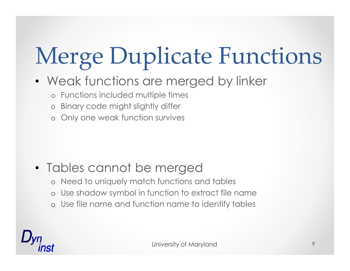# Merge Duplicate Functions

- Weak functions are merged by linker
	- o Functions included multiple times
	- o Binary code might slightly differ
	- o Only one weak function survives

### • Tables cannot be merged

- o Need to uniquely match functions and tables
- o Use shadow symbol in function to extract file name
- o Use file name and function name to identify tables

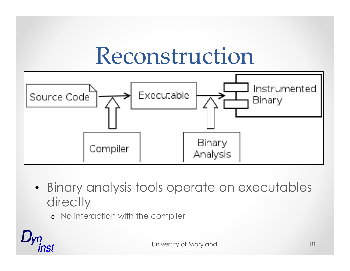### Reconstruction



• Binary analysis tools operate on executables **directly** 

o No interaction with the compiler

nst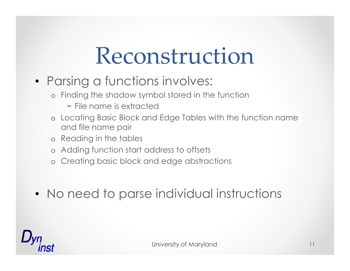### Reconstruction

- Parsing a functions involves:
	- o Finding the shadow symbol stored in the function
		- − File name is extracted
	- o Locating Basic Block and Edge Tables with the function name and file name pair
	- o Reading in the tables
	- o Adding function start address to offsets
	- o Creating basic block and edge abstractions
- No need to parse individual instructions

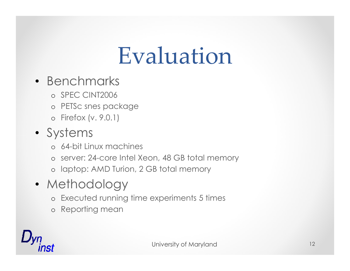## Evaluation

- Benchmarks
	- o SPEC CINT2006
	- o PETSc snes package
	- o Firefox (v. 9.0.1)

#### • Systems

- o 64-bit Linux machines
- o server: 24-core Intel Xeon, 48 GB total memory
- o laptop: AMD Turion, 2 GB total memory
- Methodology
	- o Executed running time experiments 5 times
	- o Reporting mean

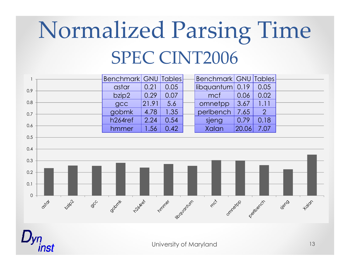# Normalized Parsing TimeSPEC CINT2006



University of Maryland

inst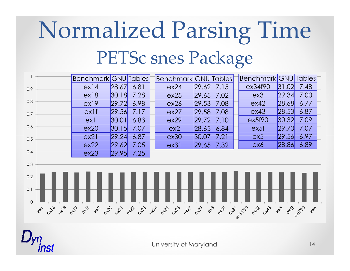# Normalized Parsing TimePETSc snes Package



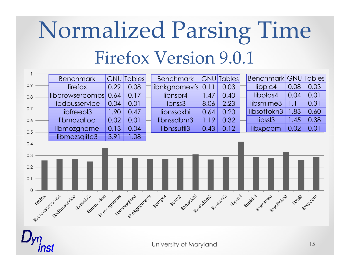# Normalized Parsing TimeFirefox Version 9.0.1

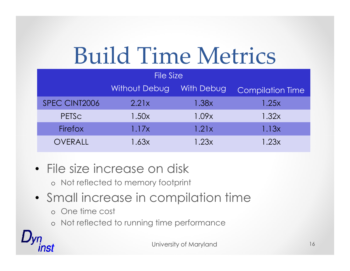# Build Time Metrics

| <b>File Size</b> |                      |            |                         |  |
|------------------|----------------------|------------|-------------------------|--|
|                  | <b>Without Debug</b> | With Debug | <b>Compilation Time</b> |  |
| SPEC CINT2006    | 2.21x                | 1.38x      | 1.25x                   |  |
| PETSC            | 1.50x                | 1.09x      | 1.32x                   |  |
| Firefox          | 1.17x                | 1.21x      | 1.13x                   |  |
| OVERALL          | 1.63x                | 1.23x      | 1.23x                   |  |

- File size increase on disk
	- o Not reflected to memory footprint
- Small increase in compilation time
	- o One time cost

nst

o Not reflected to running time performance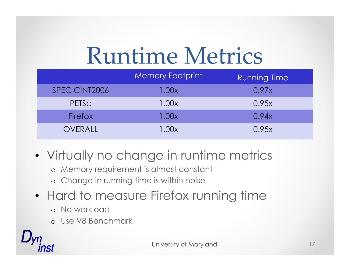# Runtime Metrics

|                | <b>Memory Footprint</b> | <b>Running Time</b> |
|----------------|-------------------------|---------------------|
| SPEC CINT2006  | 1.00x                   | 0.97x               |
| <b>PETSC</b>   | 1.00x                   | 0.95x               |
| <b>Firefox</b> | 1.00x                   | 0.94x               |
| OVERALL        | 1.00x                   | 0.95x               |

- Virtually no change in runtime metrics
	- o Memory requirement is almost constant
	- o Change in running time is within noise
- Hard to measure Firefox running time
	- o No workload
	- o Use V8 Benchmark

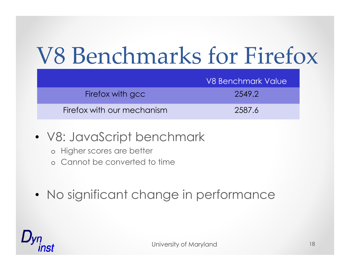# V8 Benchmarks for Firefox

|                            | V8 Benchmark Value |
|----------------------------|--------------------|
| Firefox with gcc           | 2549.2             |
| Firefox with our mechanism | 2587.6             |

- V8: JavaScript benchmark
	- o Higher scores are better
	- o Cannot be converted to time
- No significant change in performance

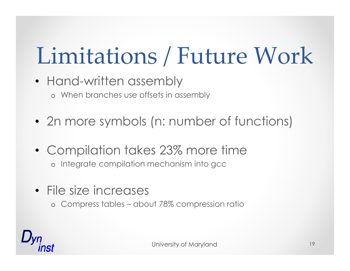# Limitations / Future Work

- Hand-written assembly o When branches use offsets in assembly
- 2n more symbols (n: number of functions)
- Compilation takes 23% more timeo Integrate compilation mechanism into gcc
- File size increases
	- o Compress tables about 78% compression ratio